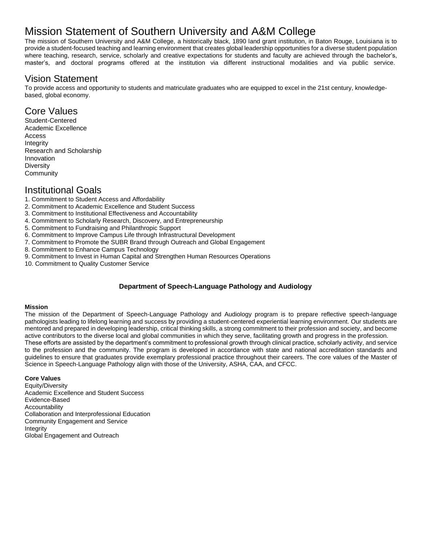# Mission Statement of Southern University and A&M College

The mission of Southern University and A&M College, a historically black, 1890 land grant institution, in Baton Rouge, Louisiana is to provide a student-focused teaching and learning environment that creates global leadership opportunities for a diverse student population where teaching, research, service, scholarly and creative expectations for students and faculty are achieved through the bachelor's, master's, and doctoral programs offered at the institution via different instructional modalities and via public service.

### Vision Statement

To provide access and opportunity to students and matriculate graduates who are equipped to excel in the 21st century, knowledgebased, global economy.

## Core Values

Student-Centered Academic Excellence Access Integrity Research and Scholarship Innovation **Diversity Community** 

# Institutional Goals

- 1. Commitment to Student Access and Affordability
- 2. Commitment to Academic Excellence and Student Success
- 3. Commitment to Institutional Effectiveness and Accountability
- 4. Commitment to Scholarly Research, Discovery, and Entrepreneurship
- 5. Commitment to Fundraising and Philanthropic Support
- 6. Commitment to Improve Campus Life through Infrastructural Development
- 7. Commitment to Promote the SUBR Brand through Outreach and Global Engagement
- 8. Commitment to Enhance Campus Technology
- 9. Commitment to Invest in Human Capital and Strengthen Human Resources Operations
- 10. Commitment to Quality Customer Service

### **Department of Speech-Language Pathology and Audiology**

#### **Mission**

The mission of the Department of Speech-Language Pathology and Audiology program is to prepare reflective speech-language pathologists leading to lifelong learning and success by providing a student-centered experiential learning environment. Our students are mentored and prepared in developing leadership, critical thinking skills, a strong commitment to their profession and society, and become active contributors to the diverse local and global communities in which they serve, facilitating growth and progress in the profession. These efforts are assisted by the department's commitment to professional growth through clinical practice, scholarly activity, and service to the profession and the community. The program is developed in accordance with state and national accreditation standards and guidelines to ensure that graduates provide exemplary professional practice throughout their careers. The core values of the Master of Science in Speech-Language Pathology align with those of the University, ASHA, CAA, and CFCC.

#### **Core Values**

Equity/Diversity Academic Excellence and Student Success Evidence-Based Accountability Collaboration and Interprofessional Education Community Engagement and Service Integrity Global Engagement and Outreach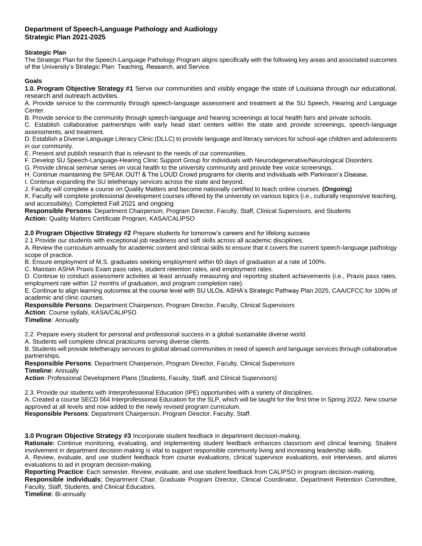#### **Department of Speech-Language Pathology and Audiology Strategic Plan 2021-2025**

#### **Strategic Plan**

The Strategic Plan for the Speech-Language Pathology Program aligns specifically with the following key areas and associated outcomes of the University's Strategic Plan: Teaching, Research, and Service.

#### **Goals**

**1.0. Program Objective Strategy #1** Serve our communities and visibly engage the state of Louisiana through our educational, research and outreach activities.

A. Provide service to the community through speech-language assessment and treatment at the SU Speech, Hearing and Language Center.

B. Provide service to the community through speech-language and hearing screenings at local health fairs and private schools.

C. Establish collaborative partnerships with early head start centers within the state and provide screenings, speech-language assessments, and treatment.

D. Establish a Diverse Language Literacy Clinic (DLLC) to provide language and literacy services for school-age children and adolescents in our community.

E. Present and publish research that is relevant to the needs of our communities.

F. Develop SU Speech-Language-Hearing Clinic Support Group for individuals with Neurodegenerative/Neurological Disorders.

G. Provide clinical seminar series on vocal health to the university community and provide free voice screenings.

H. Continue maintaining the SPEAK OUT! & The LOUD Crowd programs for clients and individuals with Parkinson's Disease.

I. Continue expanding the SU teletherapy services across the state and beyond.

J. Faculty will complete a course on Quality Matters and become nationally certified to teach online courses. **(Ongoing)**

K. Faculty will complete professional development courses offered by the university on various topics (i.e., culturally responsive teaching, and accessibility). Completed Fall 2021 and ongoing

**Responsible Persons**: Department Chairperson, Program Director, Faculty, Staff, Clinical Supervisors, and Students **Action:** Quality Matters Certificate Program, KASA/CALIPSO

**2.0 Program Objective Strategy #2** Prepare students for tomorrow's careers and for lifelong success

2.1 Provide our students with exceptional job readiness and soft skills across all academic disciplines.

A. Review the curriculum annually for academic content and clinical skills to ensure that it covers the current speech-language pathology scope of practice.

B. Ensure employment of M.S. graduates seeking employment within 60 days of graduation at a rate of 100%.

C. Maintain ASHA Praxis Exam pass rates, student retention rates, and employment rates.

D. Continue to conduct assessment activities at least annually measuring and reporting student achievements (i.e., Praxis pass rates, employment rate within 12 months of graduation, and program completion rate).

E. Continue to align learning outcomes at the course level with SU ULOs, ASHA's Strategic Pathway Plan 2025, CAA/CFCC for 100% of academic and clinic courses.

**Responsible Persons**: Department Chairperson, Program Director, Faculty, Clinical Supervisors

**Action**: Course syllabi, KASA/CALIPSO

**Timeline**: Annually

2.2. Prepare every student for personal and professional success in a global sustainable diverse world.

A. Students will complete clinical practicums serving diverse clients.

B. Students will provide teletherapy services to global abroad communities in need of speech and language services through collaborative partnerships.

**Responsible Persons**: Department Chairperson, Program Director, Faculty, Clinical Supervisors

#### **Timeline**: Annually

**Action**: Professional Development Plans (Students, Faculty, Staff, and Clinical Supervisors)

2.3. Provide our students with Interprofessional Education (IPE) opportunities with a variety of disciplines.

A. Created a course SECD 564 Interprofessional Education for the SLP, which will be taught for the first time in Spring 2022. New course approved at all levels and now added to the newly revised program curriculum.

**Responsible Persons**: Department Chairperson, Program Director, Faculty, Staff.

**3.0 Program Objective Strategy #3** Incorporate student feedback in department decision-making.

**Rationale:** Continue monitoring, evaluating, and implementing student feedback enhances classroom and clinical learning. Student involvement in department decision-making is vital to support responsible community living and increasing leadership skills.

A. Review, evaluate, and use student feedback from course evaluations, clinical supervisor evaluations, exit interviews, and alumni evaluations to aid in program decision-making.

**Reporting Practice**: Each semester. Review, evaluate, and use student feedback from CALIPSO in program decision-making.

**Responsible individuals**; Department Chair, Graduate Program Director, Clinical Coordinator, Department Retention Committee, Faculty, Staff, Students, and Clinical Educators.

**Timeline**: Bi-annually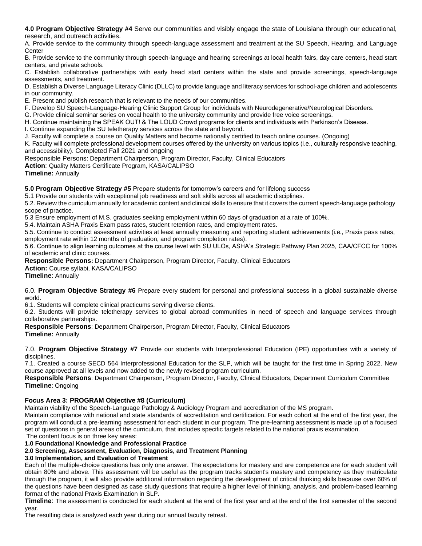**4.0 Program Objective Strategy #4** Serve our communities and visibly engage the state of Louisiana through our educational, research, and outreach activities.

A. Provide service to the community through speech-language assessment and treatment at the SU Speech, Hearing, and Language **Center** 

B. Provide service to the community through speech-language and hearing screenings at local health fairs, day care centers, head start centers, and private schools.

C. Establish collaborative partnerships with early head start centers within the state and provide screenings, speech-language assessments, and treatment.

D. Establish a Diverse Language Literacy Clinic (DLLC) to provide language and literacy services for school-age children and adolescents in our community.

E. Present and publish research that is relevant to the needs of our communities.

F. Develop SU Speech-Language-Hearing Clinic Support Group for individuals with Neurodegenerative/Neurological Disorders.

G. Provide clinical seminar series on vocal health to the university community and provide free voice screenings.

H. Continue maintaining the SPEAK OUT! & The LOUD Crowd programs for clients and individuals with Parkinson's Disease.

I. Continue expanding the SU teletherapy services across the state and beyond.

J. Faculty will complete a course on Quality Matters and become nationally certified to teach online courses. (Ongoing)

K. Faculty will complete professional development courses offered by the university on various topics (i.e., culturally responsive teaching, and accessibility). Completed Fall 2021 and ongoing

Responsible Persons: Department Chairperson, Program Director, Faculty, Clinical Educators

**Action**: Quality Matters Certificate Program, KASA/CALIPSO

**Timeline:** Annually

**5.0 Program Objective Strategy #5** Prepare students for tomorrow's careers and for lifelong success

5.1 Provide our students with exceptional job readiness and soft skills across all academic disciplines.

5.2. Review the curriculum annually for academic content and clinical skills to ensure that it covers the current speech-language pathology scope of practice.

5.3 Ensure employment of M.S. graduates seeking employment within 60 days of graduation at a rate of 100%.

5.4. Maintain ASHA Praxis Exam pass rates, student retention rates, and employment rates.

5.5. Continue to conduct assessment activities at least annually measuring and reporting student achievements (i.e., Praxis pass rates, employment rate within 12 months of graduation, and program completion rates).

5.6. Continue to align learning outcomes at the course level with SU ULOs, ASHA's Strategic Pathway Plan 2025, CAA/CFCC for 100% of academic and clinic courses.

**Responsible Persons:** Department Chairperson, Program Director, Faculty, Clinical Educators

**Action:** Course syllabi, KASA/CALIPSO

**Timeline**: Annually

6.0. **Program Objective Strategy #6** Prepare every student for personal and professional success in a global sustainable diverse world.

6.1. Students will complete clinical practicums serving diverse clients.

6.2. Students will provide teletherapy services to global abroad communities in need of speech and language services through collaborative partnerships.

**Responsible Persons**: Department Chairperson, Program Director, Faculty, Clinical Educators

**Timeline:** Annually

7.0. **Program Objective Strategy #7** Provide our students with Interprofessional Education (IPE) opportunities with a variety of disciplines.

7.1. Created a course SECD 564 Interprofessional Education for the SLP, which will be taught for the first time in Spring 2022. New course approved at all levels and now added to the newly revised program curriculum.

**Responsible Persons**: Department Chairperson, Program Director, Faculty, Clinical Educators, Department Curriculum Committee **Timeline**: Ongoing

#### **Focus Area 3: PROGRAM Objective #8 (Curriculum)**

Maintain viability of the Speech-Language Pathology & Audiology Program and accreditation of the MS program.

Maintain compliance with national and state standards of accreditation and certification. For each cohort at the end of the first year, the program will conduct a pre-learning assessment for each student in our program. The pre-learning assessment is made up of a focused set of questions in general areas of the curriculum, that includes specific targets related to the national praxis examination.

The content focus is on three key areas: **1.0 Foundational Knowledge and Professional Practice**

#### **2.0 Screening, Assessment, Evaluation, Diagnosis, and Treatment Planning**

#### **3.0 Implementation, and Evaluation of Treatment**

Each of the multiple-choice questions has only one answer. The expectations for mastery and are competence are for each student will obtain 80% and above. This assessment will be useful as the program tracks student's mastery and competency as they matriculate through the program, it will also provide additional information regarding the development of critical thinking skills because over 60% of the questions have been designed as case study questions that require a higher level of thinking, analysis, and problem-based learning format of the national Praxis Examination in SLP.

**Timeline**: The assessment is conducted for each student at the end of the first year and at the end of the first semester of the second year.

The resulting data is analyzed each year during our annual faculty retreat.